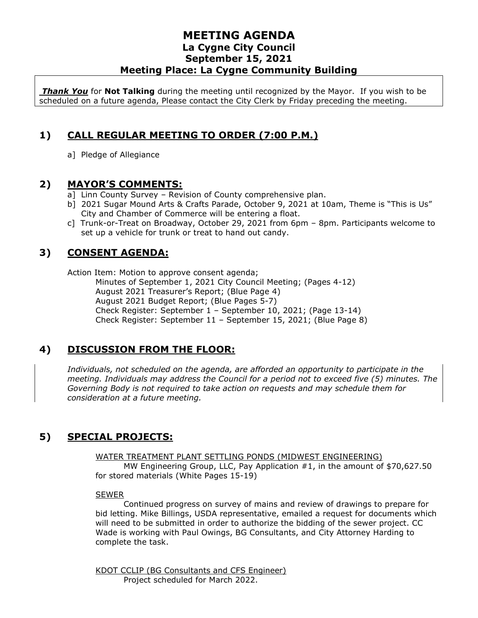### **MEETING AGENDA La Cygne City Council September 15, 2021 Meeting Place: La Cygne Community Building**

*Thank You* for **Not Talking** during the meeting until recognized by the Mayor. If you wish to be scheduled on a future agenda, Please contact the City Clerk by Friday preceding the meeting.

# **1) CALL REGULAR MEETING TO ORDER (7:00 P.M.)**

a] Pledge of Allegiance

#### **2) MAYOR'S COMMENTS:**

- a] Linn County Survey Revision of County comprehensive plan.
- b] 2021 Sugar Mound Arts & Crafts Parade, October 9, 2021 at 10am, Theme is "This is Us" City and Chamber of Commerce will be entering a float.
- c] Trunk-or-Treat on Broadway, October 29, 2021 from 6pm 8pm. Participants welcome to set up a vehicle for trunk or treat to hand out candy.

# **3) CONSENT AGENDA:**

Action Item: Motion to approve consent agenda; Minutes of September 1, 2021 City Council Meeting; (Pages 4-12) August 2021 Treasurer's Report; (Blue Page 4) August 2021 Budget Report; (Blue Pages 5-7) Check Register: September 1 – September 10, 2021; (Page 13-14) Check Register: September 11 – September 15, 2021; (Blue Page 8)

# **4) DISCUSSION FROM THE FLOOR:**

*Individuals, not scheduled on the agenda, are afforded an opportunity to participate in the meeting. Individuals may address the Council for a period not to exceed five (5) minutes. The Governing Body is not required to take action on requests and may schedule them for consideration at a future meeting.* 

# **5) SPECIAL PROJECTS:**

WATER TREATMENT PLANT SETTLING PONDS (MIDWEST ENGINEERING) MW Engineering Group, LLC, Pay Application #1, in the amount of \$70,627.50 for stored materials (White Pages 15-19)

#### SEWER

Continued progress on survey of mains and review of drawings to prepare for bid letting. Mike Billings, USDA representative, emailed a request for documents which will need to be submitted in order to authorize the bidding of the sewer project. CC Wade is working with Paul Owings, BG Consultants, and City Attorney Harding to complete the task.

KDOT CCLIP (BG Consultants and CFS Engineer) Project scheduled for March 2022.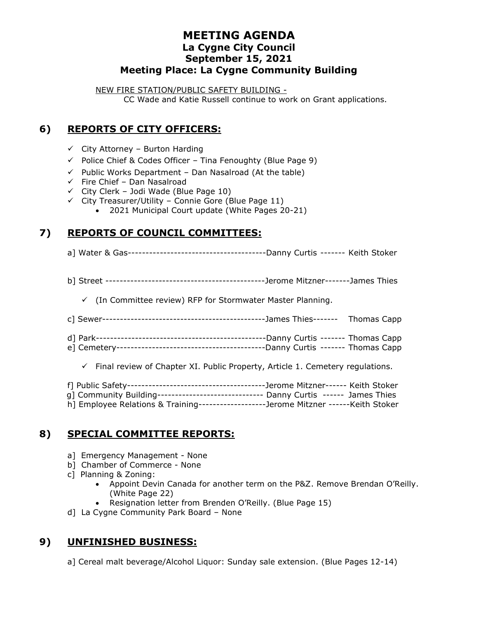## **MEETING AGENDA La Cygne City Council September 15, 2021 Meeting Place: La Cygne Community Building**

NEW FIRE STATION/PUBLIC SAFETY BUILDING - CC Wade and Katie Russell continue to work on Grant applications.

# **6) REPORTS OF CITY OFFICERS:**

- $\checkmark$  City Attorney Burton Harding
- $\checkmark$  Police Chief & Codes Officer Tina Fenoughty (Blue Page 9)
- $\checkmark$  Public Works Department Dan Nasalroad (At the table)
- $\checkmark$  Fire Chief Dan Nasalroad
- $\checkmark$  City Clerk Jodi Wade (Blue Page 10)
- $\checkmark$  City Treasurer/Utility Connie Gore (Blue Page 11)
	- 2021 Municipal Court update (White Pages 20-21)

## **7) REPORTS OF COUNCIL COMMITTEES:**

- a] Water & Gas---------------------------------------Danny Curtis ------- Keith Stoker
- b] Street ---------------------------------------------Jerome Mitzner-------James Thies

✓ (In Committee review) RFP for Stormwater Master Planning.

- c] Sewer----------------------------------------------James Thies------- Thomas Capp
- d] Park------------------------------------------------Danny Curtis ------- Thomas Capp
- e] Cemetery------------------------------------------Danny Curtis ------- Thomas Capp

 $\checkmark$  Final review of Chapter XI. Public Property, Article 1. Cemetery regulations.

- f] Public Safety---------------------------------------Jerome Mitzner------ Keith Stoker
- g] Community Building------------------------------ Danny Curtis ------ James Thies h] Employee Relations & Training-------------------Jerome Mitzner ------Keith Stoker
- 

# **8) SPECIAL COMMITTEE REPORTS:**

- a] Emergency Management None
- b] Chamber of Commerce None
- c] Planning & Zoning:
	- Appoint Devin Canada for another term on the P&Z. Remove Brendan O'Reilly. (White Page 22)
	- Resignation letter from Brenden O'Reilly. (Blue Page 15)
- d] La Cygne Community Park Board None

# **9) UNFINISHED BUSINESS:**

a] Cereal malt beverage/Alcohol Liquor: Sunday sale extension. (Blue Pages 12-14)